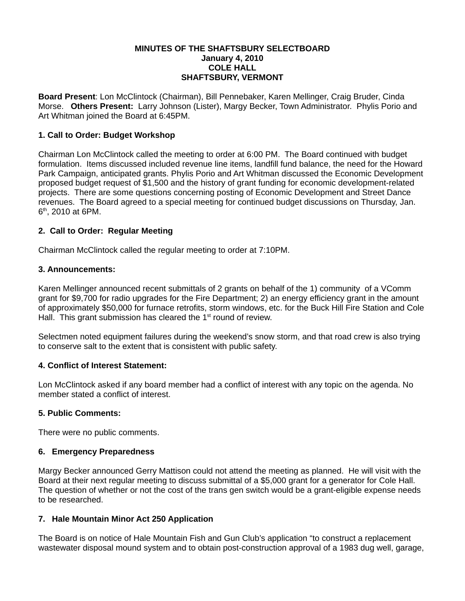### **MINUTES OF THE SHAFTSBURY SELECTBOARD January 4, 2010 COLE HALL SHAFTSBURY, VERMONT**

**Board Present**: Lon McClintock (Chairman), Bill Pennebaker, Karen Mellinger, Craig Bruder, Cinda Morse. **Others Present:** Larry Johnson (Lister), Margy Becker, Town Administrator. Phylis Porio and Art Whitman joined the Board at 6:45PM.

## **1. Call to Order: Budget Workshop**

Chairman Lon McClintock called the meeting to order at 6:00 PM. The Board continued with budget formulation. Items discussed included revenue line items, landfill fund balance, the need for the Howard Park Campaign, anticipated grants. Phylis Porio and Art Whitman discussed the Economic Development proposed budget request of \$1,500 and the history of grant funding for economic development-related projects. There are some questions concerning posting of Economic Development and Street Dance revenues. The Board agreed to a special meeting for continued budget discussions on Thursday, Jan.  $6<sup>th</sup>$ , 2010 at 6PM.

## **2. Call to Order: Regular Meeting**

Chairman McClintock called the regular meeting to order at 7:10PM.

## **3. Announcements:**

Karen Mellinger announced recent submittals of 2 grants on behalf of the 1) community of a VComm grant for \$9,700 for radio upgrades for the Fire Department; 2) an energy efficiency grant in the amount of approximately \$50,000 for furnace retrofits, storm windows, etc. for the Buck Hill Fire Station and Cole Hall. This grant submission has cleared the  $1<sup>st</sup>$  round of review.

Selectmen noted equipment failures during the weekend's snow storm, and that road crew is also trying to conserve salt to the extent that is consistent with public safety.

## **4. Conflict of Interest Statement:**

Lon McClintock asked if any board member had a conflict of interest with any topic on the agenda. No member stated a conflict of interest.

### **5. Public Comments:**

There were no public comments.

### **6. Emergency Preparedness**

Margy Becker announced Gerry Mattison could not attend the meeting as planned. He will visit with the Board at their next regular meeting to discuss submittal of a \$5,000 grant for a generator for Cole Hall. The question of whether or not the cost of the trans gen switch would be a grant-eligible expense needs to be researched.

## **7. Hale Mountain Minor Act 250 Application**

The Board is on notice of Hale Mountain Fish and Gun Club's application "to construct a replacement wastewater disposal mound system and to obtain post-construction approval of a 1983 dug well, garage,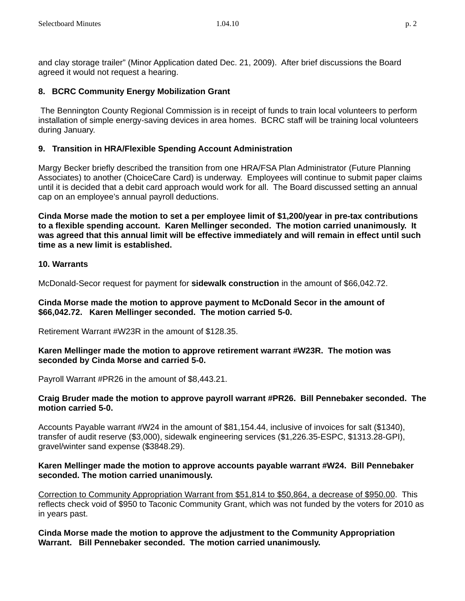and clay storage trailer" (Minor Application dated Dec. 21, 2009). After brief discussions the Board agreed it would not request a hearing.

# **8. BCRC Community Energy Mobilization Grant**

 The Bennington County Regional Commission is in receipt of funds to train local volunteers to perform installation of simple energy-saving devices in area homes. BCRC staff will be training local volunteers during January.

# **9. Transition in HRA/Flexible Spending Account Administration**

Margy Becker briefly described the transition from one HRA/FSA Plan Administrator (Future Planning Associates) to another (ChoiceCare Card) is underway. Employees will continue to submit paper claims until it is decided that a debit card approach would work for all. The Board discussed setting an annual cap on an employee's annual payroll deductions.

**Cinda Morse made the motion to set a per employee limit of \$1,200/year in pre-tax contributions to a flexible spending account. Karen Mellinger seconded. The motion carried unanimously. It was agreed that this annual limit will be effective immediately and will remain in effect until such time as a new limit is established.**

## **10. Warrants**

McDonald-Secor request for payment for **sidewalk construction** in the amount of \$66,042.72.

## **Cinda Morse made the motion to approve payment to McDonald Secor in the amount of \$66,042.72. Karen Mellinger seconded. The motion carried 5-0.**

Retirement Warrant #W23R in the amount of \$128.35.

## **Karen Mellinger made the motion to approve retirement warrant #W23R. The motion was seconded by Cinda Morse and carried 5-0.**

Payroll Warrant #PR26 in the amount of \$8,443.21.

## **Craig Bruder made the motion to approve payroll warrant #PR26. Bill Pennebaker seconded. The motion carried 5-0.**

Accounts Payable warrant #W24 in the amount of \$81,154.44, inclusive of invoices for salt (\$1340), transfer of audit reserve (\$3,000), sidewalk engineering services (\$1,226.35-ESPC, \$1313.28-GPI), gravel/winter sand expense (\$3848.29).

## **Karen Mellinger made the motion to approve accounts payable warrant #W24. Bill Pennebaker seconded. The motion carried unanimously.**

Correction to Community Appropriation Warrant from \$51,814 to \$50,864, a decrease of \$950.00. This reflects check void of \$950 to Taconic Community Grant, which was not funded by the voters for 2010 as in years past.

## **Cinda Morse made the motion to approve the adjustment to the Community Appropriation Warrant. Bill Pennebaker seconded. The motion carried unanimously.**